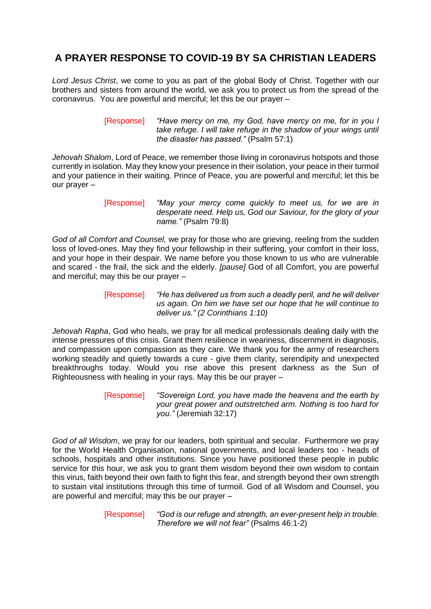## **A PRAYER RESPONSE TO COVID-19 BY SA CHRISTIAN LEADERS**

*Lord Jesus Christ*, we come to you as part of the global Body of Christ. Together with our brothers and sisters from around the world, we ask you to protect us from the spread of the coronavirus. You are powerful and merciful; let this be our prayer –

> [Response] *"Have mercy on me, my God, have mercy on me, for in you I take refuge. I will take refuge in the shadow of your wings until the disaster has passed."* (Psalm 57:1)

*Jehovah Shalom*, Lord of Peace, we remember those living in coronavirus hotspots and those currently in isolation. May they know your presence in their isolation, your peace in their turmoil and your patience in their waiting. Prince of Peace, you are powerful and merciful; let this be our prayer –

*God of all Comfort and Counsel,* we pray for those who are grieving, reeling from the sudden loss of loved-ones. May they find your fellowship in their suffering, your comfort in their loss, and your hope in their despair. We name before you those known to us who are vulnerable and scared - the frail, the sick and the elderly. *[pause]* God of all Comfort, you are powerful and merciful; may this be our prayer –

> [Response] *"He has delivered us from such a deadly peril, and he will deliver us again. On him we have set our hope that he will continue to deliver us." (2 Corinthians 1:10)*

*Jehovah Rapha*, God who heals, we pray for all medical professionals dealing daily with the intense pressures of this crisis. Grant them resilience in weariness, discernment in diagnosis, and compassion upon compassion as they care. We thank you for the army of researchers working steadily and quietly towards a cure - give them clarity, serendipity and unexpected breakthroughs today. Would you rise above this present darkness as the Sun of Righteousness with healing in your rays. May this be our prayer –

> [Response] *"Sovereign Lord, you have made the heavens and the earth by your great power and outstretched arm. Nothing is too hard for you."* (Jeremiah 32:17)

*God of all Wisdom*, we pray for our leaders, both spiritual and secular. Furthermore we pray for the World Health Organisation, national governments, and local leaders too - heads of schools, hospitals and other institutions. Since you have positioned these people in public service for this hour, we ask you to grant them wisdom beyond their own wisdom to contain this virus, faith beyond their own faith to fight this fear, and strength beyond their own strength to sustain vital institutions through this time of turmoil. God of all Wisdom and Counsel, you are powerful and merciful; may this be our prayer –

> [Response] *"God is our refuge and strength, an ever-present help in trouble. Therefore we will not fear"* (Psalms 46:1-2)

<sup>[</sup>Response] *"May your mercy come quickly to meet us, for we are in desperate need. Help us, God our Saviour, for the glory of your name."* (Psalm 79:8)